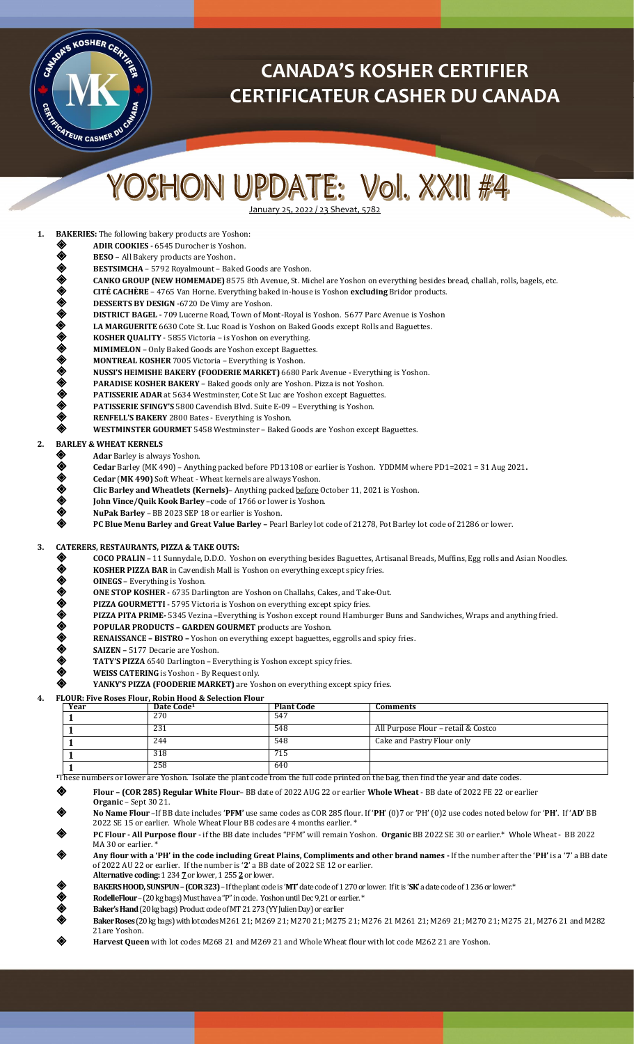

# **CANADA'S KOSHER CERTIFIER CERTIFICATEUR CASHER DU CANADA**

# YOSHON UPDATE: Vol. XXII #4

January 25, 2022 / 23 Shevat, 5782

**1. BAKERIES:** The following bakery products are Yoshon:

- **ADIR COOKIES -** 6545 Durocher is Yoshon.
- **BESO All Bakery products are Yoshon.**<br> **BESTSIMCHA –** 5792 Royalmount Bak<br> **CANKO GROUP (NEW HOMEMADE)** 85<br>
CITÉ CACHÈRE 4765 Van Horne. Every<br>
DESSERTS BY DESIGN -6720 De Vimy a<br>
DISTRICT BAGEL 709 Lucerne Road,
	- **BESTSIMCHA**  5792 Royalmount Baked Goods are Yoshon.
	- **CANKO GROUP (NEW HOMEMADE)** 8575 8th Avenue, St. Michel are Yoshon on everything besides bread, challah, rolls, bagels, etc.
- **CITÉ CACHÈRE** 4765 Van Horne. Everything baked in-house is Yoshon **excluding** Bridor products.
- **DESSERTS BY DESIGN** -6720 De Vimy are Yoshon.
- **DISTRICT BAGEL -** 709 Lucerne Road, Town of Mont-Royal is Yoshon. 5677 Parc Avenue is Yoshon
- **LA MARGUERITE** 6630 Cote St. Luc Road is Yoshon on Baked Goods except Rolls and Baguettes.
- **KOSHER QUALITY** 5855 Victoria is Yoshon on everything.
- **MIMIMELON** Only Baked Goods are Yoshon except Baguettes.
- **MONTREAL KOSHER** 7005 Victoria Everything is Yoshon.
- **NUSSI'S HEIMISHE BAKERY (FOODERIE MARKET)** 6680 Park Avenue Everything is Yoshon.
- **PARADISE KOSHER BAKERY** Baked goods only are Yoshon. Pizza is not Yoshon.
- **PATISSERIE ADAR** at 5634 Westminster, Cote St Luc are Yoshon except Baguettes.
- **PATISSERIE SFINGY'S** 5800 Cavendish Blvd. Suite E-09 Everything is Yoshon.
- 
- **RENFELL'S BAKERY** 2800 Bates Everything is Yoshon. **WESTMINSTER GOURMET** 5458 Westminster – Baked Goods are Yoshon except Baguettes.

**2. BARLEY & WHEAT KERNELS**

- ◆ **Adar** Barley is always Yoshon.<br>◆ **Cedar** Barley (MK 490) Anyt
- **Cedar** Barley (MK 490) Anything packed before PD13108 or earlier is Yoshon. YDDMM where PD1=2021 = 31 Aug 2021**.**
- **Cedar** (**MK 490)** Soft Wheat Wheat kernels are always Yoshon.
- **Clic Barley and Wheatlets (Kernels)** Anything packed before October 11, 2021 is Yoshon.
- **John Vince/Quik Kook Barley** –code of 1766 or lower is Yoshon.
- **NuPak Barley**  BB 2023 SEP 18 or earlier is Yoshon.
	- **PC Blue Menu Barley and Great Value Barley –** Pearl Barley lot code of 21278, Pot Barley lot code of 21286 or lower.

## **3. CATERERS, RESTAURANTS, PIZZA & TAKE OUTS:**

- **COCO PRALIN**  11 Sunnydale, D.D.O. Yoshon on everything besides Baguettes, Artisanal Breads, Muffins, Egg rolls and Asian Noodles.
- **EXECT BAR** in Cavendish Mall is Yoshon on everything except spicy fries.<br> **EXEC BOINEGS** Everything is Yoshon.
- **OINEGS** Everything is Yoshon.
- 
- **PIZZA GOURMETTI**  5795 Victoria is Yoshon on everything except spicy fries.
- **PIZZA PITA PRIME-** 5345 Vezina –Everything is Yoshon except round Hamburger Buns and Sandwiches, Wraps and anything fried.
- **POPULAR PRODUCTS – GARDEN GOURMET** products are Yoshon.
- **ONE STOP KOSHER 6735 Darlington are Yoshon on Challahs, Cakes, and Take-Out.**<br> **PIZZA GOURMETTI 5795 Victoria is Yoshon on everything except spicy fries.**<br> **PIZZA PITA PRIME- 5345 Vezina –Everything is Yoshon except r RENAISSANCE – BISTRO –** Yoshon on everything except baguettes, eggrolls and spicy fries.
- **SAIZEN –** 5177 Decarie are Yoshon.
- **TATY'S PIZZA** 6540 Darlington Everything is Yoshon except spicy fries.
- **WEISS CATERING** is Yoshon By Request only.
- **YANKY'S PIZZA (FOODERIE MARKET)** are Yoshon on everything except spicy fries.

#### **4. FLOUR: Five Roses Flour, Robin Hood & Selection Flour**

| Year | Date Code <sup>1</sup> | <b>Plant Code</b> | Comments                            |
|------|------------------------|-------------------|-------------------------------------|
|      | 270                    | 547               |                                     |
|      | 231                    | 548               | All Purpose Flour – retail & Costco |
|      | 244                    | 548               | Cake and Pastry Flour only          |
|      | 318                    | 715               |                                     |
|      | 258                    | 640               |                                     |

**<sup>1</sup>**These numbers or lower are Yoshon. Isolate the plant code from the full code printed on the bag, then find the year and date codes.

**Flour – (COR 285) Regular White Flour**– BB date of 2022 AUG 22 or earlier **Whole Wheat** - BB date of 2022 FE 22 or earlier

- **Organic** Sept 30 21.
- **No Name Flour** –If BB date includes '**PFM'** use same codes as COR 285 flour. If '**PH**' (0)7 or 'PH' (0)2 use codes noted below for '**PH**'. If '**AD**' BB 2022 SE 15 or earlier. Whole Wheat Flour BB codes are 4 months earlier. \*
- **PC Flour - All Purpose flour** if the BB date includes "PFM" will remain Yoshon. **Organic** BB 2022 SE 30 or earlier.\* Whole Wheat BB 2022 MA 30 or earlier.
- **Any flour with a 'PH' in the code including Great Plains, Compliments and other brand names -** If the number after the '**PH'** is a '**7**' a BB date of 2022 AU 22 or earlier. If the number is '**2**' a BB date of 2022 SE 12 or earlier. **Alternative coding:** 1234**7** or lower, 1255**2**or lower.
- **BAKERS HOOD, SUNSPUN –(COR 323)** –If the plant code is '**MT**' date code of 1270or lower. If it is '**SK**' a date code of1236or lower.\*
- **RodelleFlour**  (20 kg bags) Must have a "P"in code. Yoshon until Dec 9,21 or earlier. \*
- **Baker's Hand** (20 kg bags) Product code of MT 21 273 (YY Julien Day) or earlier
- **Baker Roses** (20 kg bags) with lot codes M261 21; M269 21; M270 21; M275 21; M276 21 M261 21; M269 21; M270 21; M275 21, M276 21 and M282 21are Yoshon.
- **Harvest Queen** with lot codes M268 21 and M269 21 and Whole Wheat flour with lot code M262 21 are Yoshon.